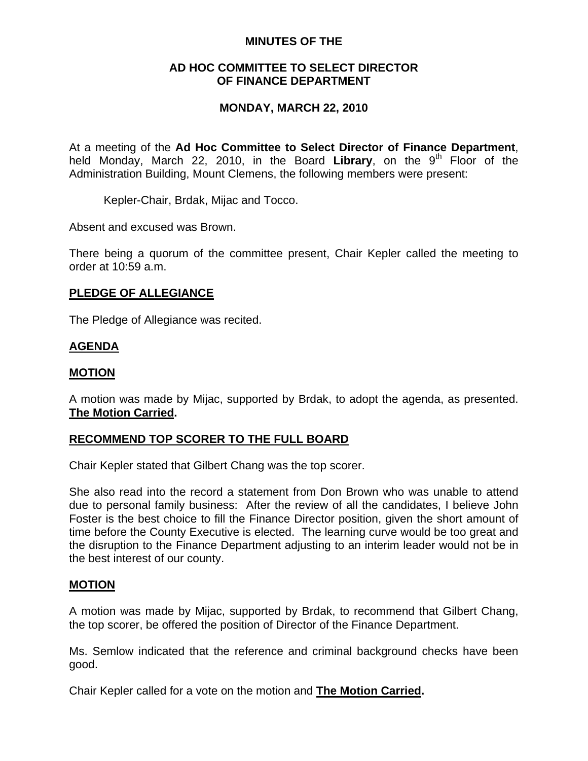### **MINUTES OF THE**

## **AD HOC COMMITTEE TO SELECT DIRECTOR OF FINANCE DEPARTMENT**

## **MONDAY, MARCH 22, 2010**

At a meeting of the **Ad Hoc Committee to Select Director of Finance Department**, held Monday, March 22, 2010, in the Board Library, on the 9<sup>th</sup> Floor of the Administration Building, Mount Clemens, the following members were present:

Kepler-Chair, Brdak, Mijac and Tocco.

Absent and excused was Brown.

There being a quorum of the committee present, Chair Kepler called the meeting to order at 10:59 a.m.

## **PLEDGE OF ALLEGIANCE**

The Pledge of Allegiance was recited.

## **AGENDA**

#### **MOTION**

A motion was made by Mijac, supported by Brdak, to adopt the agenda, as presented. **The Motion Carried.** 

#### **RECOMMEND TOP SCORER TO THE FULL BOARD**

Chair Kepler stated that Gilbert Chang was the top scorer.

She also read into the record a statement from Don Brown who was unable to attend due to personal family business: After the review of all the candidates, I believe John Foster is the best choice to fill the Finance Director position, given the short amount of time before the County Executive is elected. The learning curve would be too great and the disruption to the Finance Department adjusting to an interim leader would not be in the best interest of our county.

#### **MOTION**

A motion was made by Mijac, supported by Brdak, to recommend that Gilbert Chang, the top scorer, be offered the position of Director of the Finance Department.

Ms. Semlow indicated that the reference and criminal background checks have been good.

Chair Kepler called for a vote on the motion and **The Motion Carried.**